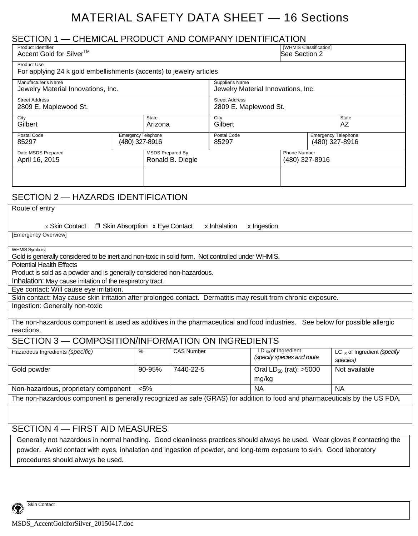# MATERIAL SAFETY DATA SHEET — 16 Sections

| SECTION 1 - CHEMICAL PRODUCT AND COMPANY IDENTIFICATION                                                                                                                 |                                              |                                             |                                                       |                                                       |                                                     |
|-------------------------------------------------------------------------------------------------------------------------------------------------------------------------|----------------------------------------------|---------------------------------------------|-------------------------------------------------------|-------------------------------------------------------|-----------------------------------------------------|
| Product Identifier<br>Accent Gold for Silver <sup>™</sup>                                                                                                               |                                              |                                             | [WHMIS Classification]<br>See Section 2               |                                                       |                                                     |
| <b>Product Use</b><br>For applying 24 k gold embellishments (accents) to jewelry articles                                                                               |                                              |                                             |                                                       |                                                       |                                                     |
| Manufacturer's Name<br>Jewelry Material Innovations, Inc.                                                                                                               |                                              |                                             | Supplier's Name<br>Jewelry Material Innovations, Inc. |                                                       |                                                     |
| <b>Street Address</b><br>2809 E. Maplewood St.                                                                                                                          |                                              |                                             | <b>Street Address</b><br>2809 E. Maplewood St.        |                                                       |                                                     |
| City<br><b>State</b><br>Gilbert<br>Arizona                                                                                                                              |                                              | City                                        | <b>State</b><br>Gilbert<br>AZ                         |                                                       |                                                     |
| Postal Code<br>85297                                                                                                                                                    | <b>Emergency Telephone</b><br>(480) 327-8916 | 85297                                       | Postal Code                                           |                                                       | <b>Emergency Telephone</b><br>(480) 327-8916        |
| Date MSDS Prepared<br>April 16, 2015                                                                                                                                    |                                              | <b>MSDS Prepared By</b><br>Ronald B. Diegle |                                                       | Phone Number<br>(480) 327-8916                        |                                                     |
|                                                                                                                                                                         |                                              |                                             |                                                       |                                                       |                                                     |
| SECTION 2 - HAZARDS IDENTIFICATION                                                                                                                                      |                                              |                                             |                                                       |                                                       |                                                     |
| Route of entry<br>x Skin Contact $\Box$ Skin Absorption x Eye Contact<br>[Emergency Overview]                                                                           |                                              | x Inhalation                                | x Ingestion                                           |                                                       |                                                     |
| <b>WHMIS Symbols]</b><br>Gold is generally considered to be inert and non-toxic in solid form. Not controlled under WHMIS.                                              |                                              |                                             |                                                       |                                                       |                                                     |
| <b>Potential Health Effects</b><br>Product is sold as a powder and is generally considered non-hazardous.<br>Inhalation: May cause irritation of the respiratory tract. |                                              |                                             |                                                       |                                                       |                                                     |
| Eye contact: Will cause eye irritation.                                                                                                                                 |                                              |                                             |                                                       |                                                       |                                                     |
| Skin contact: May cause skin irritation after prolonged contact. Dermatitis may result from chronic exposure.<br>Ingestion: Generally non-toxic                         |                                              |                                             |                                                       |                                                       |                                                     |
| The non-hazardous component is used as additives in the pharmaceutical and food industries. See below for possible allergic<br>reactions.                               |                                              |                                             |                                                       |                                                       |                                                     |
| SECTION 3 - COMPOSITION/INFORMATION ON INGREDIENTS                                                                                                                      |                                              |                                             |                                                       |                                                       |                                                     |
| Hazardous Ingredients (specific)                                                                                                                                        | %                                            | <b>CAS Number</b>                           |                                                       | $LD_{50}$ of Ingredient<br>(specify species and route | LC <sub>50</sub> of Ingredient (specify<br>species) |
| Gold powder                                                                                                                                                             | 90-95%                                       | 7440-22-5                                   | mg/kg                                                 | Oral $LD_{50}$ (rat): >5000                           | Not available                                       |
| Non-hazardous, proprietary component                                                                                                                                    | $< 5\%$                                      |                                             | <b>NA</b>                                             |                                                       | <b>NA</b>                                           |
| The non-hazardous component is generally recognized as safe (GRAS) for addition to food and pharmaceuticals by the US FDA.                                              |                                              |                                             |                                                       |                                                       |                                                     |

### SECTION 4 — FIRST AID MEASURES

Generally not hazardous in normal handling. Good cleanliness practices should always be used. Wear gloves if contacting the powder. Avoid contact with eyes, inhalation and ingestion of powder, and long-term exposure to skin. Good laboratory procedures should always be used.

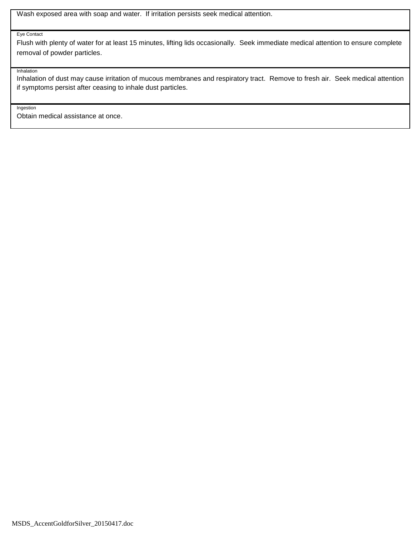Wash exposed area with soap and water. If irritation persists seek medical attention.

#### Eye Contact

Flush with plenty of water for at least 15 minutes, lifting lids occasionally. Seek immediate medical attention to ensure complete removal of powder particles.

Inhalation

Inhalation of dust may cause irritation of mucous membranes and respiratory tract. Remove to fresh air. Seek medical attention if symptoms persist after ceasing to inhale dust particles.

Ingestion

Obtain medical assistance at once.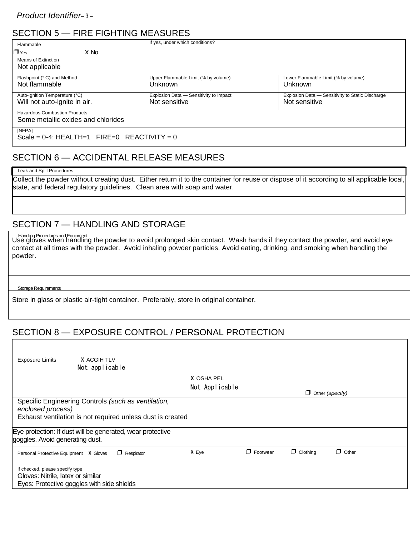# SECTION 5 — FIRE FIGHTING MEASURES

| Flammable                                                | If yes, under which conditions?        |                                                  |  |  |
|----------------------------------------------------------|----------------------------------------|--------------------------------------------------|--|--|
| $\Box$ Yes<br>X No                                       |                                        |                                                  |  |  |
| Means of Extinction<br>Not applicable                    |                                        |                                                  |  |  |
|                                                          |                                        |                                                  |  |  |
| Flashpoint (° C) and Method                              | Upper Flammable Limit (% by volume)    | Lower Flammable Limit (% by volume)              |  |  |
| Not flammable                                            | Unknown                                | Unknown                                          |  |  |
| Auto-ignition Temperature (°C)                           | Explosion Data - Sensitivity to Impact | Explosion Data - Sensitivity to Static Discharge |  |  |
| Will not auto-ignite in air.                             | Not sensitive                          | Not sensitive                                    |  |  |
| <b>Hazardous Combustion Products</b>                     |                                        |                                                  |  |  |
| Some metallic oxides and chlorides                       |                                        |                                                  |  |  |
| [NFPA]<br>Scale = $0-4$ : HEALTH=1 FIRE=0 REACTIVITY = 0 |                                        |                                                  |  |  |
|                                                          |                                        |                                                  |  |  |

## SECTION 6 — ACCIDENTAL RELEASE MEASURES

#### Leak and Spill Procedures

Collect the powder without creating dust. Either return it to the container for reuse or dispose of it according to all applicable local, state, and federal regulatory guidelines. Clean area with soap and water.

### SECTION 7 — HANDLING AND STORAGE

Use gloves when handling the powder to avoid prolonged skin contact. Wash hands if they contact the powder, and avoid eye Handling Procedures and Equipmentcontact at all times with the powder. Avoid inhaling powder particles. Avoid eating, drinking, and smoking when handling the powder.

#### **Storage Requirements**

Г

Store in glass or plastic air-tight container. Preferably, store in original container.

# SECTION 8 — EXPOSURE CONTROL / PERSONAL PROTECTION

| <b>Exposure Limits</b>                                                                                                                 | X ACGIH TLV<br>Not applicable |                   |                              |          |                 |                        |  |
|----------------------------------------------------------------------------------------------------------------------------------------|-------------------------------|-------------------|------------------------------|----------|-----------------|------------------------|--|
|                                                                                                                                        |                               |                   | X OSHA PEL<br>Not Applicable |          |                 | $\Box$ Other (specify) |  |
| Specific Engineering Controls (such as ventilation,<br>enclosed process)<br>Exhaust ventilation is not required unless dust is created |                               |                   |                              |          |                 |                        |  |
| Eye protection: If dust will be generated, wear protective<br>goggles. Avoid generating dust.                                          |                               |                   |                              |          |                 |                        |  |
| Personal Protective Equipment X Gloves                                                                                                 |                               | $\Box$ Respirator | X Eye                        | Footwear | $\Box$ Clothing | $\Box$ Other           |  |
| If checked, please specify type<br>Gloves: Nitrile, latex or similar<br>Eyes: Protective goggles with side shields                     |                               |                   |                              |          |                 |                        |  |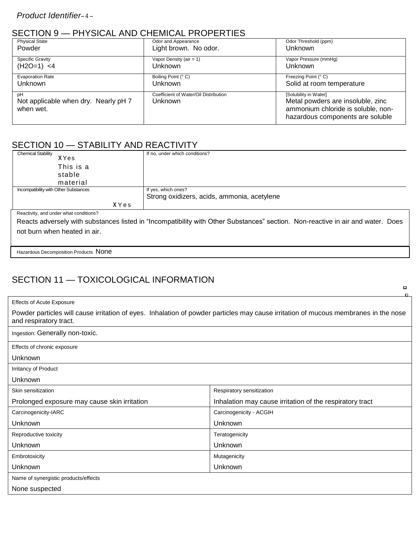### SECTION 9 — PHYSICAL AND CHEMICAL PROPERTIES

| <b>Physical State</b>                             | Odor and Appearance                   | Odor Threshold (ppm)                                                                                        |
|---------------------------------------------------|---------------------------------------|-------------------------------------------------------------------------------------------------------------|
| Powder                                            | Light brown. No odor.                 | Unknown                                                                                                     |
| <b>Specific Gravity</b>                           | Vapor Density (air = $1$ )            | Vapor Pressure (mmHq)                                                                                       |
| $(H2O=1) < 4$                                     | Unknown                               | Unknown                                                                                                     |
| <b>Evaporation Rate</b>                           | Boiling Point (° C)                   | Freezing Point (° C)                                                                                        |
| <b>Unknown</b>                                    | Unknown                               | Solid at room temperature                                                                                   |
| рH                                                | Coefficient of Water/Oil Distribution | [Solubility in Water]                                                                                       |
| Not applicable when dry. Nearly pH 7<br>when wet. | Unknown                               | Metal powders are insoluble, zinc<br>ammonium chloride is soluble, non-<br>hazardous components are soluble |

# SECTION 10 - STABILITY AND REACTIVITY

| <b>Chemical Stability</b>              | If no, under which conditions?                                                                                                  |
|----------------------------------------|---------------------------------------------------------------------------------------------------------------------------------|
| XYes                                   |                                                                                                                                 |
| This is a                              |                                                                                                                                 |
| stable                                 |                                                                                                                                 |
| material                               |                                                                                                                                 |
| Incompatibility with Other Substances  | If yes, which ones?                                                                                                             |
|                                        |                                                                                                                                 |
|                                        | Strong oxidizers, acids, ammonia, acetylene                                                                                     |
| XYes                                   |                                                                                                                                 |
| Reactivity, and under what conditions? |                                                                                                                                 |
|                                        | Reacts adversely with substances listed in "Incompatibility with Other Substances" section. Non-reactive in air and water. Does |
| not burn when heated in air.           |                                                                                                                                 |

Hazardous Decomposition Products None

# SECTION 11 — TOXICOLOGICAL INFORMATION

|                                                                                                                                                               | п.                                                       |  |  |  |
|---------------------------------------------------------------------------------------------------------------------------------------------------------------|----------------------------------------------------------|--|--|--|
| <b>Effects of Acute Exposure</b>                                                                                                                              |                                                          |  |  |  |
| Powder particles will cause irritation of eyes. Inhalation of powder particles may cause irritation of mucous membranes in the nose<br>and respiratory tract. |                                                          |  |  |  |
| Ingestion: Generally non-toxic.                                                                                                                               |                                                          |  |  |  |
| Effects of chronic exposure                                                                                                                                   |                                                          |  |  |  |
| <b>Unknown</b>                                                                                                                                                |                                                          |  |  |  |
| Irritancy of Product                                                                                                                                          |                                                          |  |  |  |
| Unknown                                                                                                                                                       |                                                          |  |  |  |
| Skin sensitization                                                                                                                                            | Respiratory sensitization                                |  |  |  |
| Prolonged exposure may cause skin irritation                                                                                                                  | Inhalation may cause irritation of the respiratory tract |  |  |  |
| Carcinogenicity-IARC                                                                                                                                          | Carcinogenicity - ACGIH                                  |  |  |  |
| Unknown                                                                                                                                                       | Unknown                                                  |  |  |  |
| Reproductive toxicity                                                                                                                                         | Teratogenicity                                           |  |  |  |
| Unknown                                                                                                                                                       | Unknown                                                  |  |  |  |
| Embrotoxicity                                                                                                                                                 | Mutagenicity                                             |  |  |  |
| Unknown                                                                                                                                                       | Unknown                                                  |  |  |  |
| Name of synergistic products/effects                                                                                                                          |                                                          |  |  |  |
| None suspected                                                                                                                                                |                                                          |  |  |  |

 $\blacksquare$